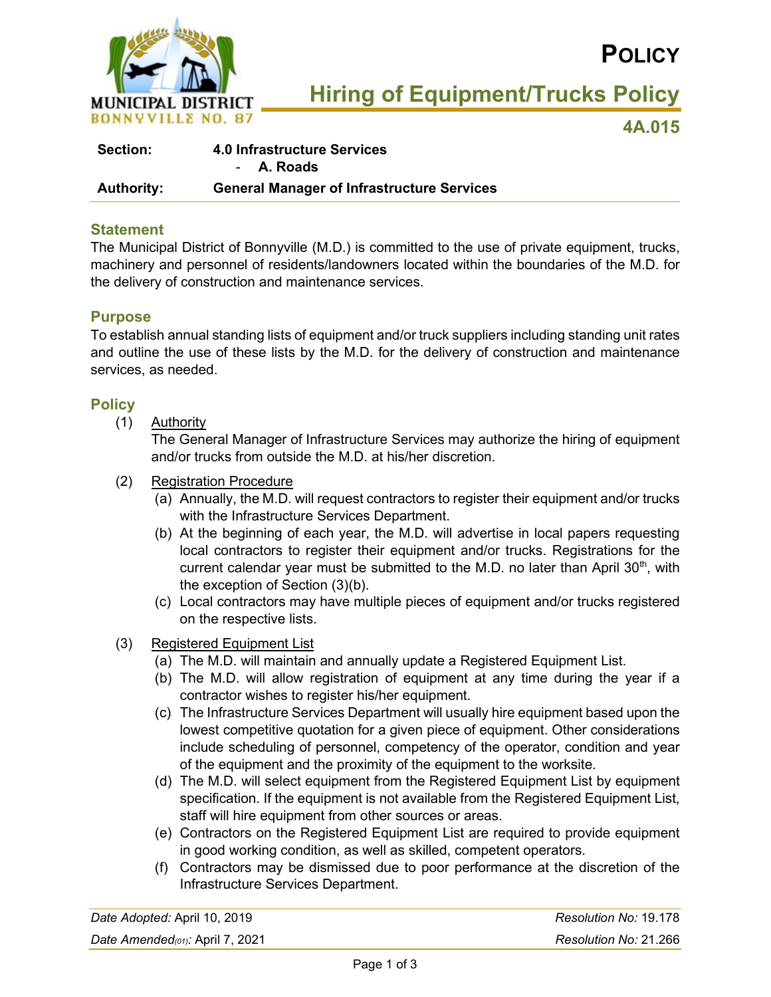

# **POLICY**

**Hiring of Equipment/Trucks Policy**

**4A.015**

| <b>Section:</b>   | <b>4.0 Infrastructure Services</b>                |  |
|-------------------|---------------------------------------------------|--|
|                   | - A. Roads                                        |  |
| <b>Authority:</b> | <b>General Manager of Infrastructure Services</b> |  |

#### **Statement**

The Municipal District of Bonnyville (M.D.) is committed to the use of private equipment, trucks, machinery and personnel of residents/landowners located within the boundaries of the M.D. for the delivery of construction and maintenance services.

## **Purpose**

To establish annual standing lists of equipment and/or truck suppliers including standing unit rates and outline the use of these lists by the M.D. for the delivery of construction and maintenance services, as needed.

## **Policy**

(1) Authority

The General Manager of Infrastructure Services may authorize the hiring of equipment and/or trucks from outside the M.D. at his/her discretion.

- (2) Registration Procedure
	- (a) Annually, the M.D. will request contractors to register their equipment and/or trucks with the Infrastructure Services Department.
	- (b) At the beginning of each year, the M.D. will advertise in local papers requesting local contractors to register their equipment and/or trucks. Registrations for the current calendar year must be submitted to the M.D. no later than April 30<sup>th</sup>, with the exception of Section (3)(b).
	- (c) Local contractors may have multiple pieces of equipment and/or trucks registered on the respective lists.
- (3) Registered Equipment List
	- (a) The M.D. will maintain and annually update a Registered Equipment List.
	- (b) The M.D. will allow registration of equipment at any time during the year if a contractor wishes to register his/her equipment.
	- (c) The Infrastructure Services Department will usually hire equipment based upon the lowest competitive quotation for a given piece of equipment. Other considerations include scheduling of personnel, competency of the operator, condition and year of the equipment and the proximity of the equipment to the worksite.
	- (d) The M.D. will select equipment from the Registered Equipment List by equipment specification. If the equipment is not available from the Registered Equipment List, staff will hire equipment from other sources or areas.
	- (e) Contractors on the Registered Equipment List are required to provide equipment in good working condition, as well as skilled, competent operators.
	- (f) Contractors may be dismissed due to poor performance at the discretion of the Infrastructure Services Department.

| Date Adopted: April 10, 2019         | Resolution No: 19.178 |
|--------------------------------------|-----------------------|
| Date Amended( $o_1$ ): April 7, 2021 | Resolution No: 21.266 |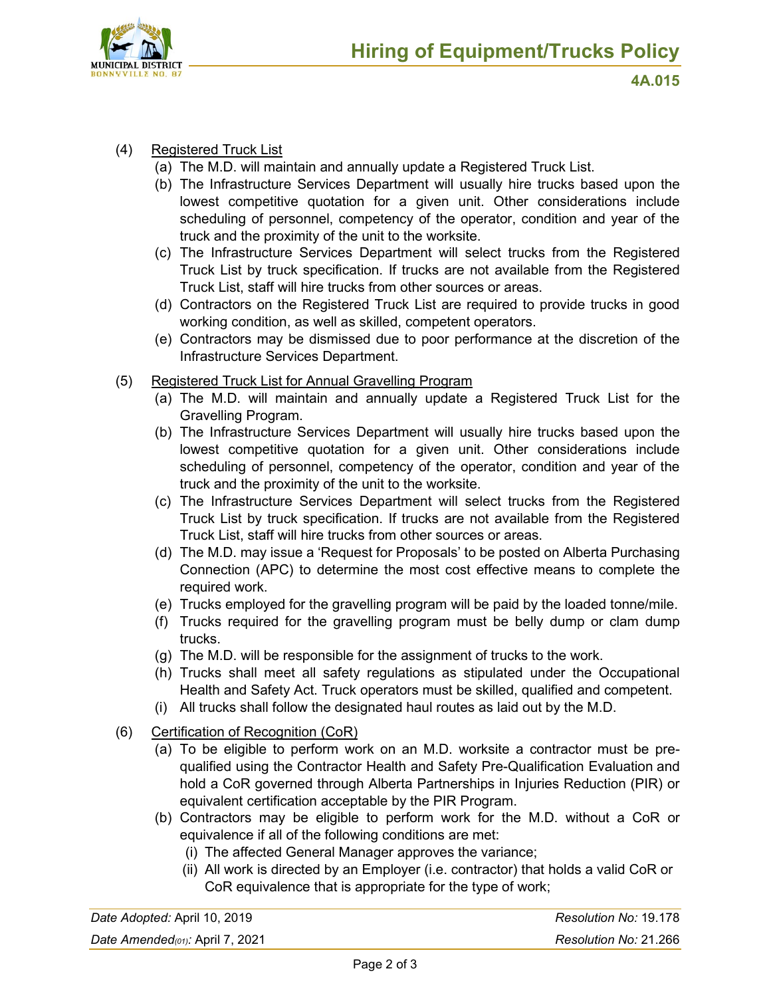

- (4) Registered Truck List
	- (a) The M.D. will maintain and annually update a Registered Truck List.
	- (b) The Infrastructure Services Department will usually hire trucks based upon the lowest competitive quotation for a given unit. Other considerations include scheduling of personnel, competency of the operator, condition and year of the truck and the proximity of the unit to the worksite.
	- (c) The Infrastructure Services Department will select trucks from the Registered Truck List by truck specification. If trucks are not available from the Registered Truck List, staff will hire trucks from other sources or areas.
	- (d) Contractors on the Registered Truck List are required to provide trucks in good working condition, as well as skilled, competent operators.
	- (e) Contractors may be dismissed due to poor performance at the discretion of the Infrastructure Services Department.
- (5) Registered Truck List for Annual Gravelling Program
	- (a) The M.D. will maintain and annually update a Registered Truck List for the Gravelling Program.
	- (b) The Infrastructure Services Department will usually hire trucks based upon the lowest competitive quotation for a given unit. Other considerations include scheduling of personnel, competency of the operator, condition and year of the truck and the proximity of the unit to the worksite.
	- (c) The Infrastructure Services Department will select trucks from the Registered Truck List by truck specification. If trucks are not available from the Registered Truck List, staff will hire trucks from other sources or areas.
	- (d) The M.D. may issue a 'Request for Proposals' to be posted on Alberta Purchasing Connection (APC) to determine the most cost effective means to complete the required work.
	- (e) Trucks employed for the gravelling program will be paid by the loaded tonne/mile.
	- (f) Trucks required for the gravelling program must be belly dump or clam dump trucks.
	- (g) The M.D. will be responsible for the assignment of trucks to the work.
	- (h) Trucks shall meet all safety regulations as stipulated under the Occupational Health and Safety Act. Truck operators must be skilled, qualified and competent.
	- (i) All trucks shall follow the designated haul routes as laid out by the M.D.
- (6) Certification of Recognition (CoR)
	- (a) To be eligible to perform work on an M.D. worksite a contractor must be prequalified using the Contractor Health and Safety Pre-Qualification Evaluation and hold a CoR governed through Alberta Partnerships in Injuries Reduction (PIR) or equivalent certification acceptable by the PIR Program.
	- (b) Contractors may be eligible to perform work for the M.D. without a CoR or equivalence if all of the following conditions are met:
		- (i) The affected General Manager approves the variance;
		- (ii) All work is directed by an Employer (i.e. contractor) that holds a valid CoR or CoR equivalence that is appropriate for the type of work;

| Date Adopted: April 10, 2019             | Resolution No: 19.178 |
|------------------------------------------|-----------------------|
| Date Amended( $\sigma$ 1): April 7, 2021 | Resolution No: 21.266 |